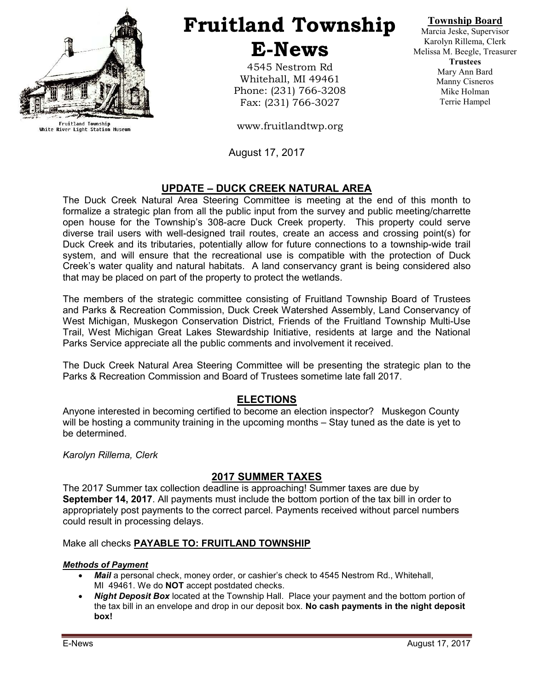

Fruitland Township<br>White River Light Station Museum

# Fruitland Township E-News

4545 Nestrom Rd Whitehall, MI 49461 Phone: (231) 766-3208 Fax: (231) 766-3027

www.fruitlandtwp.org

August 17, 2017

# UPDATE – DUCK CREEK NATURAL AREA

The Duck Creek Natural Area Steering Committee is meeting at the end of this month to formalize a strategic plan from all the public input from the survey and public meeting/charrette open house for the Township's 308-acre Duck Creek property. This property could serve diverse trail users with well-designed trail routes, create an access and crossing point(s) for Duck Creek and its tributaries, potentially allow for future connections to a township-wide trail system, and will ensure that the recreational use is compatible with the protection of Duck Creek's water quality and natural habitats. A land conservancy grant is being considered also that may be placed on part of the property to protect the wetlands.

The members of the strategic committee consisting of Fruitland Township Board of Trustees and Parks & Recreation Commission, Duck Creek Watershed Assembly, Land Conservancy of West Michigan, Muskegon Conservation District, Friends of the Fruitland Township Multi-Use Trail, West Michigan Great Lakes Stewardship Initiative, residents at large and the National Parks Service appreciate all the public comments and involvement it received.

The Duck Creek Natural Area Steering Committee will be presenting the strategic plan to the Parks & Recreation Commission and Board of Trustees sometime late fall 2017.

# ELECTIONS

Anyone interested in becoming certified to become an election inspector? Muskegon County will be hosting a community training in the upcoming months – Stay tuned as the date is yet to be determined.

Karolyn Rillema, Clerk

# 2017 SUMMER TAXES

The 2017 Summer tax collection deadline is approaching! Summer taxes are due by September 14, 2017. All payments must include the bottom portion of the tax bill in order to appropriately post payments to the correct parcel. Payments received without parcel numbers could result in processing delays.

## Make all checks PAYABLE TO: FRUITLAND TOWNSHIP

## Methods of Payment

- Mail a personal check, money order, or cashier's check to 4545 Nestrom Rd., Whitehall, MI 49461. We do **NOT** accept postdated checks.
- Night Deposit Box located at the Township Hall. Place your payment and the bottom portion of the tax bill in an envelope and drop in our deposit box. No cash payments in the night deposit box!

Township Board

Marcia Jeske, Supervisor Karolyn Rillema, Clerk Melissa M. Beegle, Treasurer **Trustees** Mary Ann Bard Manny Cisneros Mike Holman Terrie Hampel